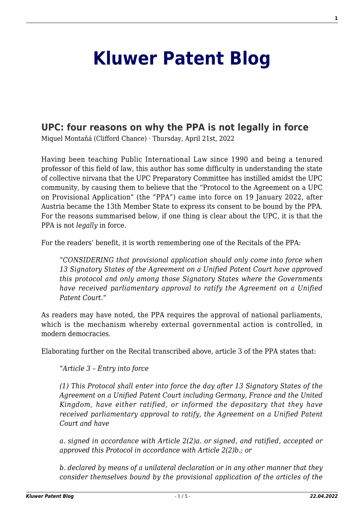## **[Kluwer Patent Blog](http://patentblog.kluweriplaw.com/)**

## **[UPC: four reasons on why the PPA is not legally in force](http://patentblog.kluweriplaw.com/2022/04/21/upc-four-reasons-on-why-the-ppa-is-not-legally-in-force/)**

Miquel Montañá (Clifford Chance) · Thursday, April 21st, 2022

Having been teaching Public International Law since 1990 and being a tenured professor of this field of law, this author has some difficulty in understanding the state of collective nirvana that the UPC Preparatory Committee has instilled amidst the UPC community, by causing them to believe that the "Protocol to the Agreement on a UPC on Provisional Application" (the "PPA") came into force on 19 January 2022, after Austria became the 13th Member State to express its consent to be bound by the PPA. For the reasons summarised below, if one thing is clear about the UPC, it is that the PPA is not *legally* in force.

For the readers' benefit, it is worth remembering one of the Recitals of the PPA:

"*CONSIDERING that provisional application should only come into force when 13 Signatory States of the Agreement on a Unified Patent Court have approved this protocol and only among those Signatory States where the Governments have received parliamentary approval to ratify the Agreement on a Unified Patent Court.*"

As readers may have noted, the PPA requires the approval of national parliaments, which is the mechanism whereby external governmental action is controlled, in modern democracies.

Elaborating further on the Recital transcribed above, article 3 of the PPA states that:

"*Article 3 – Entry into force*

*(1) This Protocol shall enter into force the day after 13 Signatory States of the Agreement on a Unified Patent Court including Germany, France and the United Kingdom, have either ratified, or informed the depositary that they have received parliamentary approval to ratify, the Agreement on a Unified Patent Court and have*

*a. signed in accordance with Article 2(2)a. or signed, and ratified, accepted or approved this Protocol in accordance with Article 2(2)b.; or*

*b. declared by means of a unilateral declaration or in any other manner that they consider themselves bound by the provisional application of the articles of the*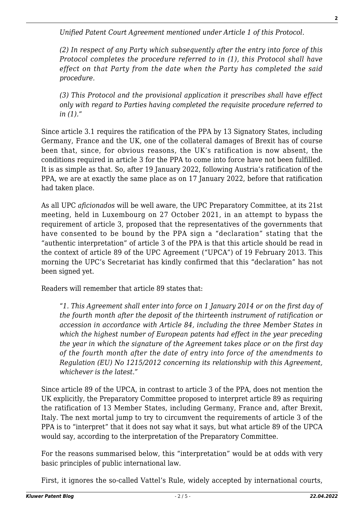*Unified Patent Court Agreement mentioned under Article 1 of this Protocol.*

*(2) In respect of any Party which subsequently after the entry into force of this Protocol completes the procedure referred to in (1), this Protocol shall have effect on that Party from the date when the Party has completed the said procedure.*

*(3) This Protocol and the provisional application it prescribes shall have effect only with regard to Parties having completed the requisite procedure referred to in (1).*"

Since article 3.1 requires the ratification of the PPA by 13 Signatory States, including Germany, France and the UK, one of the collateral damages of Brexit has of course been that, since, for obvious reasons, the UK's ratification is now absent, the conditions required in article 3 for the PPA to come into force have not been fulfilled. It is as simple as that. So, after 19 January 2022, following Austria's ratification of the PPA, we are at exactly the same place as on 17 January 2022, before that ratification had taken place.

As all UPC *aficionados* will be well aware, the UPC Preparatory Committee, at its 21st meeting, held in Luxembourg on 27 October 2021, in an attempt to bypass the requirement of article 3, proposed that the representatives of the governments that have consented to be bound by the PPA sign a "declaration" stating that the "authentic interpretation" of article 3 of the PPA is that this article should be read in the context of article 89 of the UPC Agreement ("UPCA") of 19 February 2013. This morning the UPC's Secretariat has kindly confirmed that this "declaration" has not been signed yet.

Readers will remember that article 89 states that:

"*1. This Agreement shall enter into force on 1 January 2014 or on the first day of the fourth month after the deposit of the thirteenth instrument of ratification or accession in accordance with Article 84, including the three Member States in which the highest number of European patents had effect in the year preceding the year in which the signature of the Agreement takes place or on the first day of the fourth month after the date of entry into force of the amendments to Regulation (EU) No 1215/2012 concerning its relationship with this Agreement, whichever is the latest."*

Since article 89 of the UPCA, in contrast to article 3 of the PPA, does not mention the UK explicitly, the Preparatory Committee proposed to interpret article 89 as requiring the ratification of 13 Member States, including Germany, France and, after Brexit, Italy. The next mortal jump to try to circumvent the requirements of article 3 of the PPA is to "interpret" that it does not say what it says, but what article 89 of the UPCA would say, according to the interpretation of the Preparatory Committee.

For the reasons summarised below, this "interpretation" would be at odds with very basic principles of public international law.

First, it ignores the so-called Vattel's Rule, widely accepted by international courts,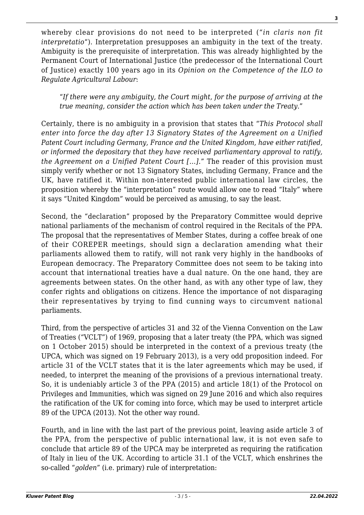whereby clear provisions do not need to be interpreted ("*in claris non fit interpretatio*"). Interpretation presupposes an ambiguity in the text of the treaty. Ambiguity is the prerequisite of interpretation. This was already highlighted by the Permanent Court of International Justice (the predecessor of the International Court of Justice) exactly 100 years ago in its *Opinion on the Competence of the ILO to Regulate Agricultural Labour*:

"*If there were any ambiguity, the Court might, for the purpose of arriving at the true meaning, consider the action which has been taken under the Treaty*."

Certainly, there is no ambiguity in a provision that states that "*This Protocol shall enter into force the day after 13 Signatory States of the Agreement on a Unified Patent Court including Germany, France and the United Kingdom, have either ratified, or informed the depositary that they have received parliamentary approval to ratify, the Agreement on a Unified Patent Court […]*." The reader of this provision must simply verify whether or not 13 Signatory States, including Germany, France and the UK, have ratified it. Within non-interested public international law circles, the proposition whereby the "interpretation" route would allow one to read "Italy" where it says "United Kingdom" would be perceived as amusing, to say the least.

Second, the "declaration" proposed by the Preparatory Committee would deprive national parliaments of the mechanism of control required in the Recitals of the PPA. The proposal that the representatives of Member States, during a coffee break of one of their COREPER meetings, should sign a declaration amending what their parliaments allowed them to ratify, will not rank very highly in the handbooks of European democracy. The Preparatory Committee does not seem to be taking into account that international treaties have a dual nature. On the one hand, they are agreements between states. On the other hand, as with any other type of law, they confer rights and obligations on citizens. Hence the importance of not disparaging their representatives by trying to find cunning ways to circumvent national parliaments.

Third, from the perspective of articles 31 and 32 of the Vienna Convention on the Law of Treaties ("VCLT") of 1969, proposing that a later treaty (the PPA, which was signed on 1 October 2015) should be interpreted in the context of a previous treaty (the UPCA, which was signed on 19 February 2013), is a very odd proposition indeed. For article 31 of the VCLT states that it is the later agreements which may be used, if needed, to interpret the meaning of the provisions of a previous international treaty. So, it is undeniably article 3 of the PPA (2015) and article 18(1) of the Protocol on Privileges and Immunities, which was signed on 29 June 2016 and which also requires the ratification of the UK for coming into force, which may be used to interpret article 89 of the UPCA (2013). Not the other way round.

Fourth, and in line with the last part of the previous point, leaving aside article 3 of the PPA, from the perspective of public international law, it is not even safe to conclude that article 89 of the UPCA may be interpreted as requiring the ratification of Italy in lieu of the UK. According to article 31.1 of the VCLT, which enshrines the so-called "*golden*" (i.e. primary) rule of interpretation: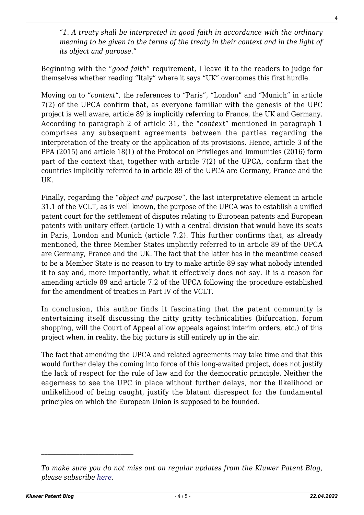"*1. A treaty shall be interpreted in good faith in accordance with the ordinary meaning to be given to the terms of the treaty in their context and in the light of its object and purpose."*

Beginning with the "*good faith*" requirement, I leave it to the readers to judge for themselves whether reading "Italy" where it says "UK" overcomes this first hurdle.

Moving on to "*context*", the references to "Paris", "London" and "Munich" in article 7(2) of the UPCA confirm that, as everyone familiar with the genesis of the UPC project is well aware, article 89 is implicitly referring to France, the UK and Germany. According to paragraph 2 of article 31, the "*context*" mentioned in paragraph 1 comprises any subsequent agreements between the parties regarding the interpretation of the treaty or the application of its provisions. Hence, article 3 of the PPA (2015) and article 18(1) of the Protocol on Privileges and Immunities (2016) form part of the context that, together with article 7(2) of the UPCA, confirm that the countries implicitly referred to in article 89 of the UPCA are Germany, France and the UK.

Finally, regarding the "*object and purpose*", the last interpretative element in article 31.1 of the VCLT, as is well known, the purpose of the UPCA was to establish a unified patent court for the settlement of disputes relating to European patents and European patents with unitary effect (article 1) with a central division that would have its seats in Paris, London and Munich (article 7.2). This further confirms that, as already mentioned, the three Member States implicitly referred to in article 89 of the UPCA are Germany, France and the UK. The fact that the latter has in the meantime ceased to be a Member State is no reason to try to make article 89 say what nobody intended it to say and, more importantly, what it effectively does not say. It is a reason for amending article 89 and article 7.2 of the UPCA following the procedure established for the amendment of treaties in Part IV of the VCLT.

In conclusion, this author finds it fascinating that the patent community is entertaining itself discussing the nitty gritty technicalities (bifurcation, forum shopping, will the Court of Appeal allow appeals against interim orders, etc.) of this project when, in reality, the big picture is still entirely up in the air.

The fact that amending the UPCA and related agreements may take time and that this would further delay the coming into force of this long-awaited project, does not justify the lack of respect for the rule of law and for the democratic principle. Neither the eagerness to see the UPC in place without further delays, nor the likelihood or unlikelihood of being caught, justify the blatant disrespect for the fundamental principles on which the European Union is supposed to be founded.

*To make sure you do not miss out on regular updates from the Kluwer Patent Blog, please subscribe [here.](http://patentblog.kluweriplaw.com/newsletter)*